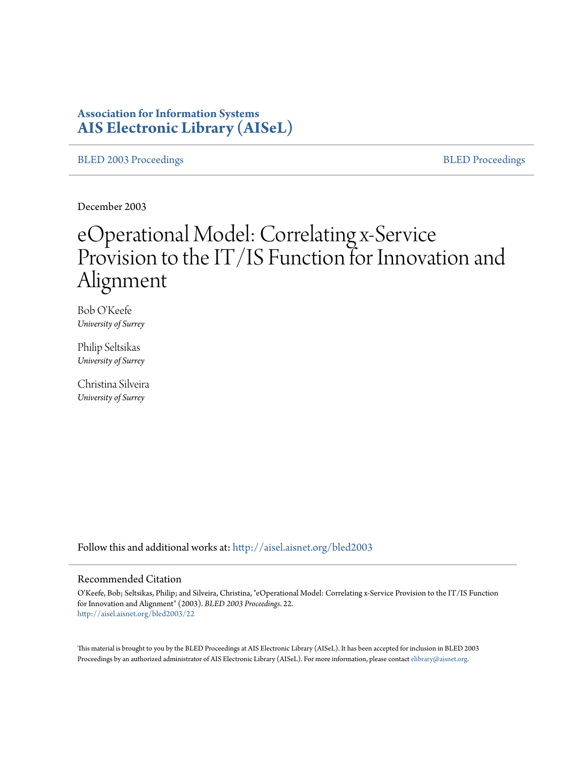# **Association for Information Systems [AIS Electronic Library \(AISeL\)](http://aisel.aisnet.org?utm_source=aisel.aisnet.org%2Fbled2003%2F22&utm_medium=PDF&utm_campaign=PDFCoverPages)**

[BLED 2003 Proceedings](http://aisel.aisnet.org/bled2003?utm_source=aisel.aisnet.org%2Fbled2003%2F22&utm_medium=PDF&utm_campaign=PDFCoverPages) and the state of the state of the [BLED Proceedings](http://aisel.aisnet.org/bled?utm_source=aisel.aisnet.org%2Fbled2003%2F22&utm_medium=PDF&utm_campaign=PDFCoverPages) and the BLED Proceedings and the BLED Proceedings and the BLED Proceedings and the BLED Proceedings and the BLED Proceedings and the BLED Proceedings

December 2003

# eOperational Model: Correlating x-Service Provision to the IT/IS Function for Innovation and Alignment

Bob O'Keefe *University of Surrey*

Philip Seltsikas *University of Surrey*

Christina Silveira *University of Surrey*

Follow this and additional works at: [http://aisel.aisnet.org/bled2003](http://aisel.aisnet.org/bled2003?utm_source=aisel.aisnet.org%2Fbled2003%2F22&utm_medium=PDF&utm_campaign=PDFCoverPages)

#### Recommended Citation

O'Keefe, Bob; Seltsikas, Philip; and Silveira, Christina, "eOperational Model: Correlating x-Service Provision to the IT/IS Function for Innovation and Alignment" (2003). *BLED 2003 Proceedings*. 22. [http://aisel.aisnet.org/bled2003/22](http://aisel.aisnet.org/bled2003/22?utm_source=aisel.aisnet.org%2Fbled2003%2F22&utm_medium=PDF&utm_campaign=PDFCoverPages)

This material is brought to you by the BLED Proceedings at AIS Electronic Library (AISeL). It has been accepted for inclusion in BLED 2003 Proceedings by an authorized administrator of AIS Electronic Library (AISeL). For more information, please contact [elibrary@aisnet.org](mailto:elibrary@aisnet.org%3E).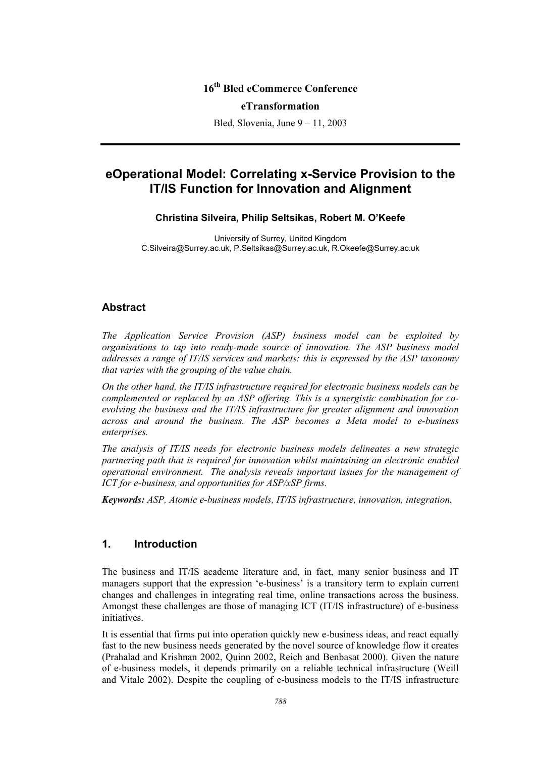# **16th Bled eCommerce Conference**

#### **eTransformation**

Bled, Slovenia, June 9 – 11, 2003

# **eOperational Model: Correlating x-Service Provision to the IT/IS Function for Innovation and Alignment**

#### **Christina Silveira, Philip Seltsikas, Robert M. O'Keefe**

University of Surrey, United Kingdom C.Silveira@Surrey.ac.uk, P.Seltsikas@Surrey.ac.uk, R.Okeefe@Surrey.ac.uk

#### **Abstract**

*The Application Service Provision (ASP) business model can be exploited by organisations to tap into ready-made source of innovation. The ASP business model addresses a range of IT/IS services and markets: this is expressed by the ASP taxonomy that varies with the grouping of the value chain.* 

*On the other hand, the IT/IS infrastructure required for electronic business models can be complemented or replaced by an ASP offering. This is a synergistic combination for coevolving the business and the IT/IS infrastructure for greater alignment and innovation across and around the business. The ASP becomes a Meta model to e-business enterprises.* 

*The analysis of IT/IS needs for electronic business models delineates a new strategic partnering path that is required for innovation whilst maintaining an electronic enabled operational environment. The analysis reveals important issues for the management of ICT for e-business, and opportunities for ASP/xSP firms.* 

*Keywords: ASP, Atomic e-business models, IT/IS infrastructure, innovation, integration.* 

## **1. Introduction**

The business and IT/IS academe literature and, in fact, many senior business and IT managers support that the expression 'e-business' is a transitory term to explain current changes and challenges in integrating real time, online transactions across the business. Amongst these challenges are those of managing ICT (IT/IS infrastructure) of e-business initiatives.

It is essential that firms put into operation quickly new e-business ideas, and react equally fast to the new business needs generated by the novel source of knowledge flow it creates (Prahalad and Krishnan 2002, Quinn 2002, Reich and Benbasat 2000). Given the nature of e-business models, it depends primarily on a reliable technical infrastructure (Weill and Vitale 2002). Despite the coupling of e-business models to the IT/IS infrastructure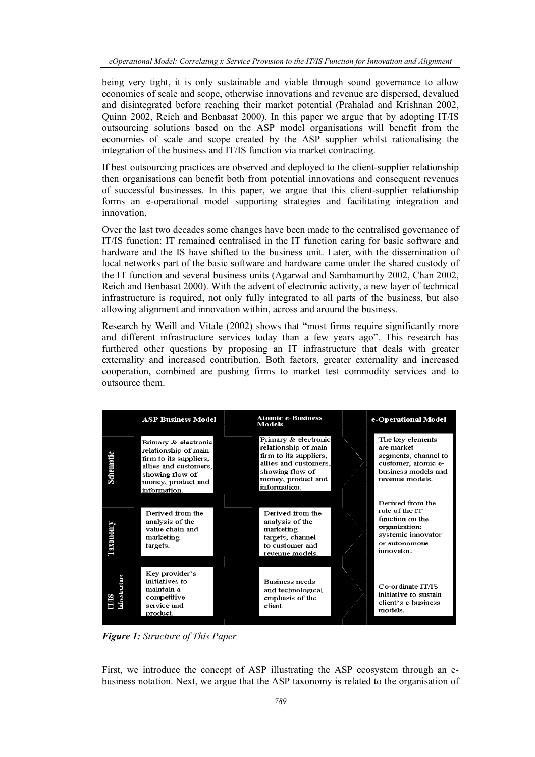being very tight, it is only sustainable and viable through sound governance to allow economies of scale and scope, otherwise innovations and revenue are dispersed, devalued and disintegrated before reaching their market potential (Prahalad and Krishnan 2002, Quinn 2002, Reich and Benbasat 2000). In this paper we argue that by adopting IT/IS outsourcing solutions based on the ASP model organisations will benefit from the economies of scale and scope created by the ASP supplier whilst rationalising the integration of the business and IT/IS function via market contracting.

If best outsourcing practices are observed and deployed to the client-supplier relationship then organisations can benefit both from potential innovations and consequent revenues of successful businesses. In this paper, we argue that this client-supplier relationship forms an e-operational model supporting strategies and facilitating integration and innovation.

Over the last two decades some changes have been made to the centralised governance of IT/IS function: IT remained centralised in the IT function caring for basic software and hardware and the IS have shifted to the business unit. Later, with the dissemination of local networks part of the basic software and hardware came under the shared custody of the IT function and several business units (Agarwal and Sambamurthy 2002, Chan 2002, Reich and Benbasat 2000). With the advent of electronic activity, a new layer of technical infrastructure is required, not only fully integrated to all parts of the business, but also allowing alignment and innovation within, across and around the business.

Research by Weill and Vitale (2002) shows that "most firms require significantly more and different infrastructure services today than a few years ago". This research has furthered other questions by proposing an IT infrastructure that deals with greater externality and increased contribution. Both factors, greater externality and increased cooperation, combined are pushing firms to market test commodity services and to outsource them.



*Figure 1: Structure of This Paper* 

First, we introduce the concept of ASP illustrating the ASP ecosystem through an ebusiness notation. Next, we argue that the ASP taxonomy is related to the organisation of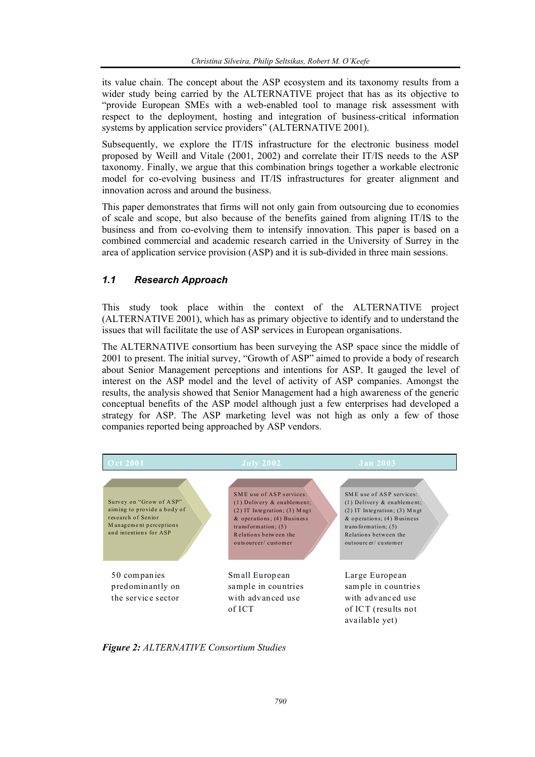its value chain. The concept about the ASP ecosystem and its taxonomy results from a wider study being carried by the ALTERNATIVE project that has as its objective to "provide European SMEs with a web-enabled tool to manage risk assessment with respect to the deployment, hosting and integration of business-critical information systems by application service providers" (ALTERNATIVE 2001).

Subsequently, we explore the IT/IS infrastructure for the electronic business model proposed by Weill and Vitale (2001, 2002) and correlate their IT/IS needs to the ASP taxonomy. Finally, we argue that this combination brings together a workable electronic model for co-evolving business and IT/IS infrastructures for greater alignment and innovation across and around the business.

This paper demonstrates that firms will not only gain from outsourcing due to economies of scale and scope, but also because of the benefits gained from aligning IT/IS to the business and from co-evolving them to intensify innovation. This paper is based on a combined commercial and academic research carried in the University of Surrey in the area of application service provision (ASP) and it is sub-divided in three main sessions.

## *1.1 Research Approach*

This study took place within the context of the ALTERNATIVE project (ALTERNATIVE 2001), which has as primary objective to identify and to understand the issues that will facilitate the use of ASP services in European organisations.

The ALTERNATIVE consortium has been surveying the ASP space since the middle of 2001 to present. The initial survey, "Growth of ASP" aimed to provide a body of research about Senior Management perceptions and intentions for ASP. It gauged the level of interest on the ASP model and the level of activity of ASP companies. Amongst the results, the analysis showed that Senior Management had a high awareness of the generic conceptual benefits of the ASP model although just a few enterprises had developed a strategy for ASP. The ASP marketing level was not high as only a few of those companies reported being approached by ASP vendors.



*Figure 2: ALTERNATIVE Consortium Studies*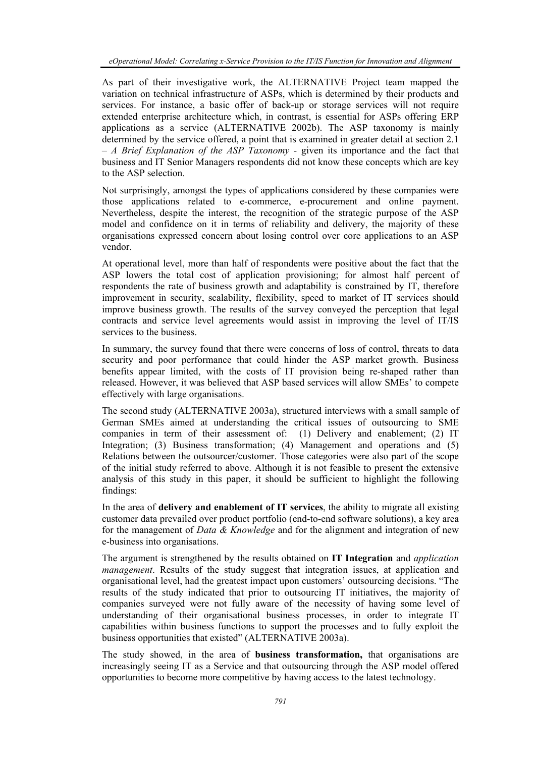As part of their investigative work, the ALTERNATIVE Project team mapped the variation on technical infrastructure of ASPs, which is determined by their products and services. For instance, a basic offer of back-up or storage services will not require extended enterprise architecture which, in contrast, is essential for ASPs offering ERP applications as a service (ALTERNATIVE 2002b). The ASP taxonomy is mainly determined by the service offered, a point that is examined in greater detail at section 2.1 – *A Brief Explanation of the ASP Taxonomy -* given its importance and the fact that business and IT Senior Managers respondents did not know these concepts which are key to the ASP selection.

Not surprisingly, amongst the types of applications considered by these companies were those applications related to e-commerce, e-procurement and online payment. Nevertheless, despite the interest, the recognition of the strategic purpose of the ASP model and confidence on it in terms of reliability and delivery, the majority of these organisations expressed concern about losing control over core applications to an ASP vendor.

At operational level, more than half of respondents were positive about the fact that the ASP lowers the total cost of application provisioning; for almost half percent of respondents the rate of business growth and adaptability is constrained by IT, therefore improvement in security, scalability, flexibility, speed to market of IT services should improve business growth. The results of the survey conveyed the perception that legal contracts and service level agreements would assist in improving the level of IT/IS services to the business.

In summary, the survey found that there were concerns of loss of control, threats to data security and poor performance that could hinder the ASP market growth. Business benefits appear limited, with the costs of IT provision being re-shaped rather than released. However, it was believed that ASP based services will allow SMEs' to compete effectively with large organisations.

The second study (ALTERNATIVE 2003a), structured interviews with a small sample of German SMEs aimed at understanding the critical issues of outsourcing to SME companies in term of their assessment of: (1) Delivery and enablement; (2) IT Integration; (3) Business transformation; (4) Management and operations and (5) Relations between the outsourcer/customer. Those categories were also part of the scope of the initial study referred to above. Although it is not feasible to present the extensive analysis of this study in this paper, it should be sufficient to highlight the following findings:

In the area of **delivery and enablement of IT services**, the ability to migrate all existing customer data prevailed over product portfolio (end-to-end software solutions), a key area for the management of *Data & Knowledge* and for the alignment and integration of new e-business into organisations.

The argument is strengthened by the results obtained on **IT Integration** and *application management*. Results of the study suggest that integration issues, at application and organisational level, had the greatest impact upon customers' outsourcing decisions. "The results of the study indicated that prior to outsourcing IT initiatives, the majority of companies surveyed were not fully aware of the necessity of having some level of understanding of their organisational business processes, in order to integrate IT capabilities within business functions to support the processes and to fully exploit the business opportunities that existed" (ALTERNATIVE 2003a).

The study showed, in the area of **business transformation,** that organisations are increasingly seeing IT as a Service and that outsourcing through the ASP model offered opportunities to become more competitive by having access to the latest technology.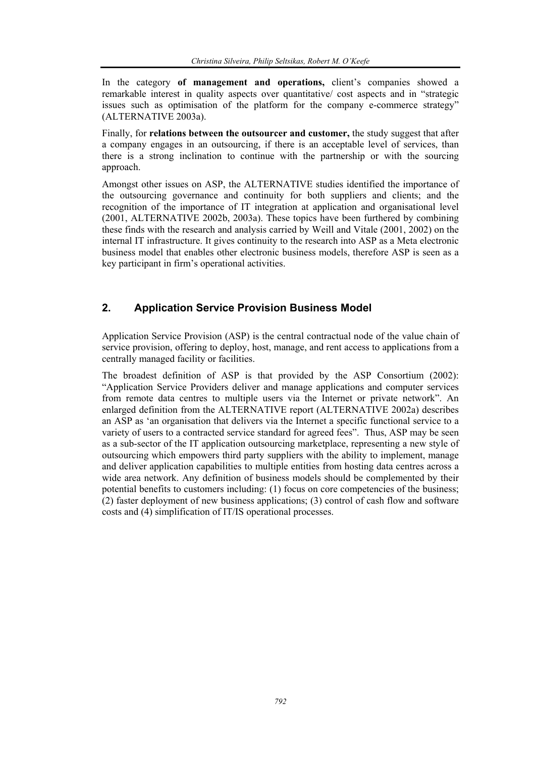In the category **of management and operations,** client's companies showed a remarkable interest in quality aspects over quantitative/ cost aspects and in "strategic issues such as optimisation of the platform for the company e-commerce strategy" (ALTERNATIVE 2003a).

Finally, for **relations between the outsourcer and customer,** the study suggest that after a company engages in an outsourcing, if there is an acceptable level of services, than there is a strong inclination to continue with the partnership or with the sourcing approach.

Amongst other issues on ASP, the ALTERNATIVE studies identified the importance of the outsourcing governance and continuity for both suppliers and clients; and the recognition of the importance of IT integration at application and organisational level (2001, ALTERNATIVE 2002b, 2003a). These topics have been furthered by combining these finds with the research and analysis carried by Weill and Vitale (2001, 2002) on the internal IT infrastructure. It gives continuity to the research into ASP as a Meta electronic business model that enables other electronic business models, therefore ASP is seen as a key participant in firm's operational activities.

# **2. Application Service Provision Business Model**

Application Service Provision (ASP) is the central contractual node of the value chain of service provision, offering to deploy, host, manage, and rent access to applications from a centrally managed facility or facilities.

The broadest definition of ASP is that provided by the ASP Consortium (2002): "Application Service Providers deliver and manage applications and computer services from remote data centres to multiple users via the Internet or private network". An enlarged definition from the ALTERNATIVE report (ALTERNATIVE 2002a) describes an ASP as 'an organisation that delivers via the Internet a specific functional service to a variety of users to a contracted service standard for agreed fees". Thus, ASP may be seen as a sub-sector of the IT application outsourcing marketplace, representing a new style of outsourcing which empowers third party suppliers with the ability to implement, manage and deliver application capabilities to multiple entities from hosting data centres across a wide area network. Any definition of business models should be complemented by their potential benefits to customers including: (1) focus on core competencies of the business; (2) faster deployment of new business applications; (3) control of cash flow and software costs and (4) simplification of IT/IS operational processes.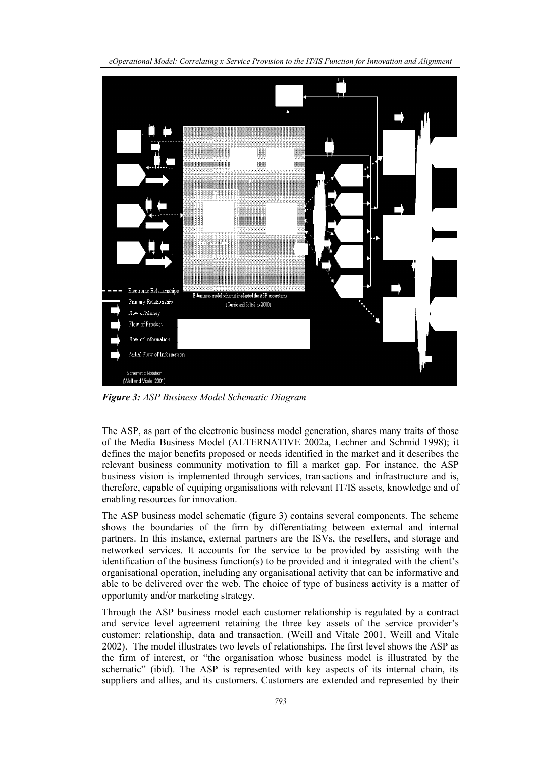*eOperational Model: Correlating x-Service Provision to the IT/IS Function for Innovation and Alignment* 



*Figure 3: ASP Business Model Schematic Diagram* 

The ASP, as part of the electronic business model generation, shares many traits of those of the Media Business Model (ALTERNATIVE 2002a, Lechner and Schmid 1998); it defines the major benefits proposed or needs identified in the market and it describes the relevant business community motivation to fill a market gap. For instance, the ASP business vision is implemented through services, transactions and infrastructure and is, therefore, capable of equiping organisations with relevant IT/IS assets, knowledge and of enabling resources for innovation.

The ASP business model schematic (figure 3) contains several components. The scheme shows the boundaries of the firm by differentiating between external and internal partners. In this instance, external partners are the ISVs, the resellers, and storage and networked services. It accounts for the service to be provided by assisting with the identification of the business function(s) to be provided and it integrated with the client's organisational operation, including any organisational activity that can be informative and able to be delivered over the web. The choice of type of business activity is a matter of opportunity and/or marketing strategy.

Through the ASP business model each customer relationship is regulated by a contract and service level agreement retaining the three key assets of the service provider's customer: relationship, data and transaction. (Weill and Vitale 2001, Weill and Vitale 2002). The model illustrates two levels of relationships. The first level shows the ASP as the firm of interest, or "the organisation whose business model is illustrated by the schematic" (ibid). The ASP is represented with key aspects of its internal chain, its suppliers and allies, and its customers. Customers are extended and represented by their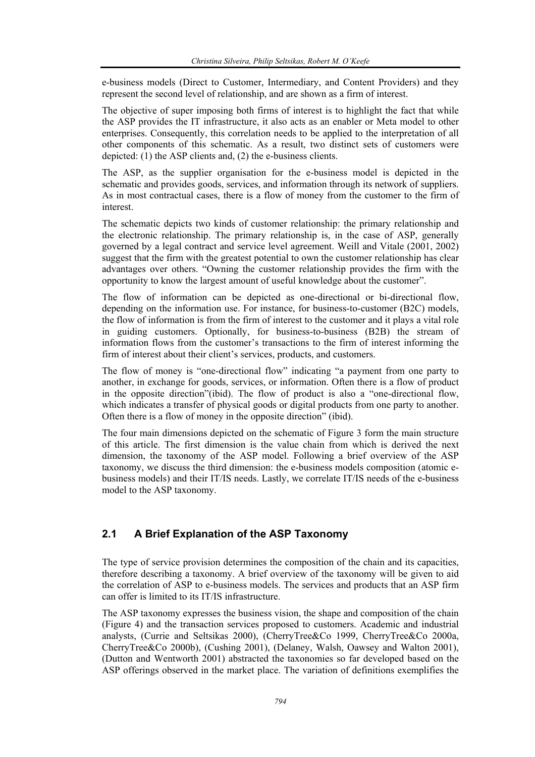e-business models (Direct to Customer, Intermediary, and Content Providers) and they represent the second level of relationship, and are shown as a firm of interest.

The objective of super imposing both firms of interest is to highlight the fact that while the ASP provides the IT infrastructure, it also acts as an enabler or Meta model to other enterprises. Consequently, this correlation needs to be applied to the interpretation of all other components of this schematic. As a result, two distinct sets of customers were depicted: (1) the ASP clients and, (2) the e-business clients.

The ASP, as the supplier organisation for the e-business model is depicted in the schematic and provides goods, services, and information through its network of suppliers. As in most contractual cases, there is a flow of money from the customer to the firm of interest.

The schematic depicts two kinds of customer relationship: the primary relationship and the electronic relationship. The primary relationship is, in the case of ASP, generally governed by a legal contract and service level agreement. Weill and Vitale (2001, 2002) suggest that the firm with the greatest potential to own the customer relationship has clear advantages over others. "Owning the customer relationship provides the firm with the opportunity to know the largest amount of useful knowledge about the customer".

The flow of information can be depicted as one-directional or bi-directional flow, depending on the information use. For instance, for business-to-customer (B2C) models, the flow of information is from the firm of interest to the customer and it plays a vital role in guiding customers. Optionally, for business-to-business (B2B) the stream of information flows from the customer's transactions to the firm of interest informing the firm of interest about their client's services, products, and customers.

The flow of money is "one-directional flow" indicating "a payment from one party to another, in exchange for goods, services, or information. Often there is a flow of product in the opposite direction"(ibid). The flow of product is also a "one-directional flow, which indicates a transfer of physical goods or digital products from one party to another. Often there is a flow of money in the opposite direction" (ibid).

The four main dimensions depicted on the schematic of Figure 3 form the main structure of this article. The first dimension is the value chain from which is derived the next dimension, the taxonomy of the ASP model. Following a brief overview of the ASP taxonomy, we discuss the third dimension: the e-business models composition (atomic ebusiness models) and their IT/IS needs. Lastly, we correlate IT/IS needs of the e-business model to the ASP taxonomy.

## **2.1 A Brief Explanation of the ASP Taxonomy**

The type of service provision determines the composition of the chain and its capacities, therefore describing a taxonomy. A brief overview of the taxonomy will be given to aid the correlation of ASP to e-business models. The services and products that an ASP firm can offer is limited to its IT/IS infrastructure.

The ASP taxonomy expresses the business vision, the shape and composition of the chain (Figure 4) and the transaction services proposed to customers. Academic and industrial analysts, (Currie and Seltsikas 2000), (CherryTree&Co 1999, CherryTree&Co 2000a, CherryTree&Co 2000b), (Cushing 2001), (Delaney, Walsh, Oawsey and Walton 2001), (Dutton and Wentworth 2001) abstracted the taxonomies so far developed based on the ASP offerings observed in the market place. The variation of definitions exemplifies the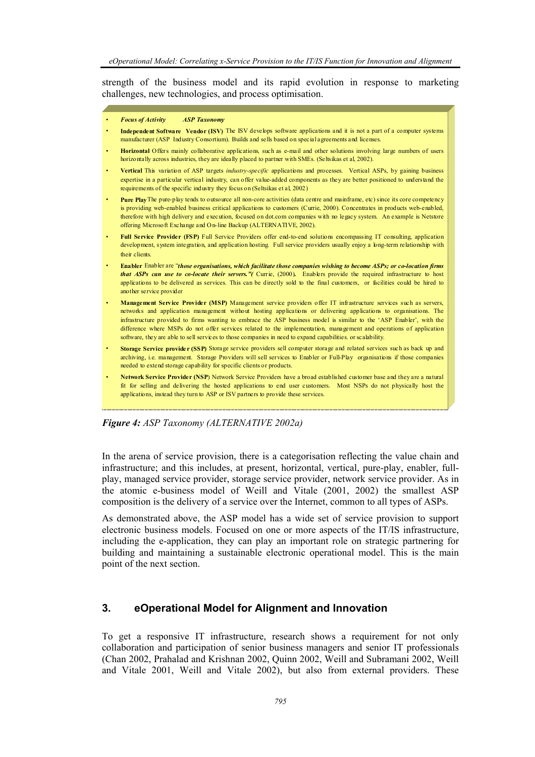strength of the business model and its rapid evolution in response to marketing challenges, new technologies, and process optimisation.

- ,他们的人都是不是一个人,他们的人都是不是一个人,他们的人都是不是一个人,他们的人都是不是一个人,他们的人都是不是一个人,他们的人都是不是一个人,他们的人都是不 • *Focus of Activity ASP Taxonomy*
- **Independent Software Vendor (ISV)** The ISV develops software applications and it is not a part of a computer systems ,他们的心里就是一个人的事情。"你们的事情,你们的事情,你们的事情,你们的事情,你们的事情,你们的事情,你们的事情,你们的事情,你们的事情,你们的事情,你们的事 manufacturer (ASP Industry Consortium). Builds and sells based on special agreements and licenses.

,他们的心里就是一个人的事情。"你们的事情,你们的事情,你们的事情,你们的事情,你们的事情,你们的事情,你们的事情,你们的事情,你们的事情,你们的事情,你们的事

- horizontally across industries, they are ideally placed to partner with SMEs. (Seltsikas et al, 2002). ,他们的心里就是一个人的事情。"你们的事情,你们的事情,你们的事情,你们的事情,你们的事情,你们的事情,你们的事情,你们的事情,你们的事情,你们的事情,你们的事 • **Horizontal** Offers mainly collaborative applications*,* such as e-mail and other solutions involving large numbers of users
- expertise in a particular vertical industry, can offer value-added components as they are better positioned to understand the requirements of the specific industry they focus on (Seltsikas et al, 2002) • **Vertical** This variation of ASP targets *industry-specific* applications and processes. Vertical ASPs, by gaining business
- Pure Play The pure-play tends to outsource all non-core activities (data centre and mainframe, etc) since its core competency is providing web-enabled business critical applications to customers (Currie, 2000). Concentrates in products web-enabled, therefore with high delivery and execution, focused on dot.com companies with no legacy system. An example is Netstore offering Microsoft Exchange and O n-line Backup (ALTERNATIVE, 2002).
- **Full Service Provider (FSP)** Full Service Providers offer end-to-end solutions encompassing IT consulting, application development, system integration, and application hosting. Full service providers usually enjoy a long-term relationship with ,他们的心里就是一个人的事情。"你们的事情,你们的事情,你们的事情,你们的事情,你们的事情,你们的事情,你们的事情,你们的事情,你们的事情,你们的事情,你们的事 their clients.
- • **Enabler** Enabler are "*those organisations, which facilitate those companies wishing to become ASPs; or co-location firms*  applications to be delivered as services. This can be directly sold to the final customers, or facilities could be hired to **another service provider and the service provider** *and the service provider* **<b>***and the service provider that ASPs can use to co-locate their servers."(* Currie, (2000). Enablers provide the required infrastructure to host
- **Management Service Provider (MSP)** Management service providers offer IT infrastructure services such as servers, networks and application management without hosting applications or delivering applications to organisations. The infrastructure provided to firms wanting to embrace the ASP business model is similar to the 'ASP Enabler', with the difference where MSPs do not offer services related to the implementation, management and operations of application ,我们也不能会在这里,我们也不能会在这里,我们也不能会在这里,我们也不能会在这里,我们也不能会在这里,我们也不能会在这里,我们也不能会在这里,我们也不能会在这里 software, they are able to sell services to those companies in need to expand capabilities. or scalability.
- **Storage Service provide r (SSP)** Storage service providers sell computer storage and related services such as back up and needed to extend storage capability for specific clients or products. archiving, i.e. management. Storage Providers will sell services to Enabler or Full-Play organisations if those companies
- **Network Service Provider (NSP**) Network Service Providers have a broad established customer base and they are a natural fit for selling and delivering the hosted applications to end user customers. Most NSPs do not physically host the applications, instead they turn to ASP or ISV partners to provide these services.

,他们的心里就是一个人的事情。"你们的事情,你们的事情,你们的事情,你们的事情,你们的事情,你们的事情,你们的事情,你们的事情,你们的事情,你们的事情,你们的事

#### *Figure 4: ASP Taxonomy (ALTERNATIVE 2002a)*

In the arena of service provision, there is a categorisation reflecting the value chain and infrastructure; and this includes, at present, horizontal, vertical, pure-play, enabler, fullplay, managed service provider, storage service provider, network service provider. As in the atomic e-business model of Weill and Vitale (2001, 2002) the smallest ASP composition is the delivery of a service over the Internet, common to all types of ASPs.

As demonstrated above, the ASP model has a wide set of service provision to support electronic business models. Focused on one or more aspects of the IT/IS infrastructure, including the e-application, they can play an important role on strategic partnering for building and maintaining a sustainable electronic operational model. This is the main point of the next section.

### **3. eOperational Model for Alignment and Innovation**

To get a responsive IT infrastructure, research shows a requirement for not only collaboration and participation of senior business managers and senior IT professionals (Chan 2002, Prahalad and Krishnan 2002, Quinn 2002, Weill and Subramani 2002, Weill and Vitale 2001, Weill and Vitale 2002), but also from external providers. These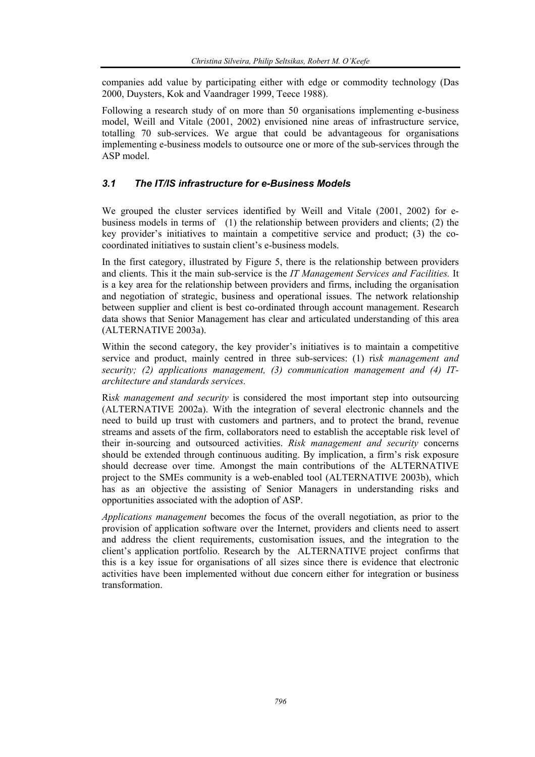companies add value by participating either with edge or commodity technology (Das 2000, Duysters, Kok and Vaandrager 1999, Teece 1988).

Following a research study of on more than 50 organisations implementing e-business model, Weill and Vitale (2001, 2002) envisioned nine areas of infrastructure service, totalling 70 sub-services. We argue that could be advantageous for organisations implementing e-business models to outsource one or more of the sub-services through the ASP model.

## *3.1 The IT/IS infrastructure for e-Business Models*

We grouped the cluster services identified by Weill and Vitale (2001, 2002) for ebusiness models in terms of (1) the relationship between providers and clients; (2) the key provider's initiatives to maintain a competitive service and product; (3) the cocoordinated initiatives to sustain client's e-business models.

In the first category, illustrated by Figure 5, there is the relationship between providers and clients. This it the main sub-service is the *IT Management Services and Facilities.* It is a key area for the relationship between providers and firms, including the organisation and negotiation of strategic, business and operational issues. The network relationship between supplier and client is best co-ordinated through account management. Research data shows that Senior Management has clear and articulated understanding of this area (ALTERNATIVE 2003a).

Within the second category, the key provider's initiatives is to maintain a competitive service and product, mainly centred in three sub-services: (1) ri*sk management and security; (2) applications management, (3) communication management and (4) ITarchitecture and standards services.* 

Ri*sk management and security* is considered the most important step into outsourcing (ALTERNATIVE 2002a). With the integration of several electronic channels and the need to build up trust with customers and partners, and to protect the brand, revenue streams and assets of the firm, collaborators need to establish the acceptable risk level of their in-sourcing and outsourced activities. *Risk management and security* concerns should be extended through continuous auditing. By implication, a firm's risk exposure should decrease over time. Amongst the main contributions of the ALTERNATIVE project to the SMEs community is a web-enabled tool (ALTERNATIVE 2003b), which has as an objective the assisting of Senior Managers in understanding risks and opportunities associated with the adoption of ASP.

*Applications management* becomes the focus of the overall negotiation, as prior to the provision of application software over the Internet, providers and clients need to assert and address the client requirements, customisation issues, and the integration to the client's application portfolio. Research by the ALTERNATIVE project confirms that this is a key issue for organisations of all sizes since there is evidence that electronic activities have been implemented without due concern either for integration or business transformation.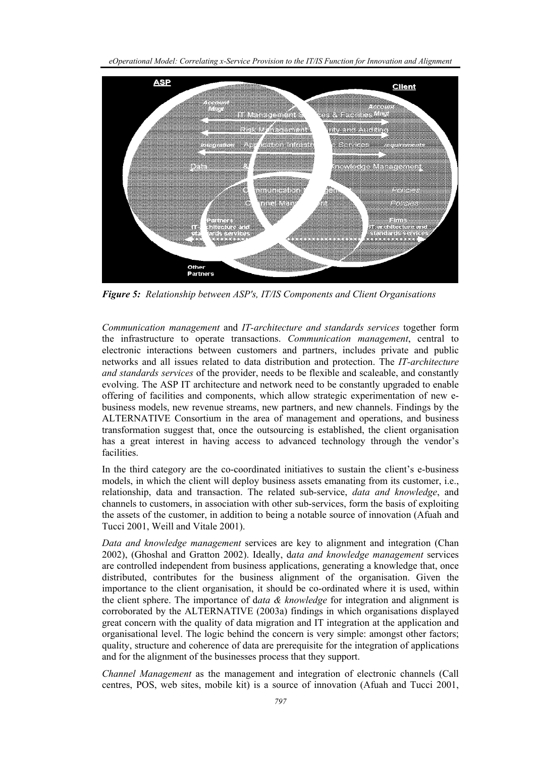*eOperational Model: Correlating x-Service Provision to the IT/IS Function for Innovation and Alignment* 



*Figure 5: Relationship between ASP's, IT/IS Components and Client Organisations* 

*Communication management* and *IT-architecture and standards services* together form the infrastructure to operate transactions. *Communication management*, central to electronic interactions between customers and partners, includes private and public networks and all issues related to data distribution and protection. The *IT-architecture and standards services* of the provider, needs to be flexible and scaleable, and constantly evolving. The ASP IT architecture and network need to be constantly upgraded to enable offering of facilities and components, which allow strategic experimentation of new ebusiness models, new revenue streams, new partners, and new channels. Findings by the ALTERNATIVE Consortium in the area of management and operations, and business transformation suggest that, once the outsourcing is established, the client organisation has a great interest in having access to advanced technology through the vendor's facilities.

In the third category are the co-coordinated initiatives to sustain the client's e-business models, in which the client will deploy business assets emanating from its customer, i.e., relationship, data and transaction. The related sub-service, *data and knowledge*, and channels to customers, in association with other sub-services, form the basis of exploiting the assets of the customer, in addition to being a notable source of innovation (Afuah and Tucci 2001, Weill and Vitale 2001).

*Data and knowledge management* services are key to alignment and integration (Chan 2002), (Ghoshal and Gratton 2002). Ideally, d*ata and knowledge management* services are controlled independent from business applications, generating a knowledge that, once distributed, contributes for the business alignment of the organisation. Given the importance to the client organisation, it should be co-ordinated where it is used, within the client sphere. The importance of d*ata & knowledge* for integration and alignment is corroborated by the ALTERNATIVE (2003a) findings in which organisations displayed great concern with the quality of data migration and IT integration at the application and organisational level. The logic behind the concern is very simple: amongst other factors; quality, structure and coherence of data are prerequisite for the integration of applications and for the alignment of the businesses process that they support.

*Channel Management* as the management and integration of electronic channels (Call centres, POS, web sites, mobile kit) is a source of innovation (Afuah and Tucci 2001,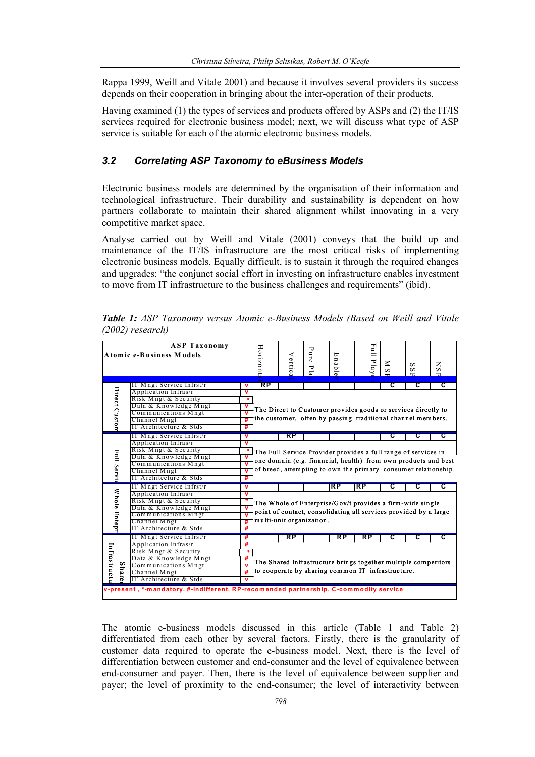Rappa 1999, Weill and Vitale 2001) and because it involves several providers its success depends on their cooperation in bringing about the inter-operation of their products.

Having examined (1) the types of services and products offered by ASPs and (2) the IT/IS services required for electronic business model; next, we will discuss what type of ASP service is suitable for each of the atomic electronic business models.

## *3.2 Correlating ASP Taxonomy to eBusiness Models*

Electronic business models are determined by the organisation of their information and technological infrastructure. Their durability and sustainability is dependent on how partners collaborate to maintain their shared alignment whilst innovating in a very competitive market space.

Analyse carried out by Weill and Vitale (2001) conveys that the build up and maintenance of the IT/IS infrastructure are the most critical risks of implementing electronic business models. Equally difficult, is to sustain it through the required changes and upgrades: "the conjunct social effort in investing on infrastructure enables investment to move from IT infrastructure to the business challenges and requirements" (ibid).

| <b>ASP Taxonomy</b><br>Atomic e-Business Models                                       |                                                  |                         | Horizont                                                       | Vertic                                                                                                                                                    | ᠊ᢦ<br>are,<br>P1a | ◫<br>nable | ᆔ<br>ΞÎ<br>Play | Z<br>$\boldsymbol{\omega}$ | s<br>S | z<br>S |  |  |  |
|---------------------------------------------------------------------------------------|--------------------------------------------------|-------------------------|----------------------------------------------------------------|-----------------------------------------------------------------------------------------------------------------------------------------------------------|-------------------|------------|-----------------|----------------------------|--------|--------|--|--|--|
|                                                                                       |                                                  |                         | RP                                                             |                                                                                                                                                           |                   |            |                 |                            |        | с      |  |  |  |
|                                                                                       | IT Mngt Service Infrst/r<br>Application Infras/r | v                       | τ<br>շ                                                         |                                                                                                                                                           |                   |            |                 |                            |        |        |  |  |  |
|                                                                                       | Risk Mngt & Security                             | v                       |                                                                |                                                                                                                                                           |                   |            |                 |                            |        |        |  |  |  |
|                                                                                       | Data & Knowledge Mngt                            |                         |                                                                | The Direct to Customer provides goods or services directly to<br>the customer, often by passing traditional channel members.                              |                   |            |                 |                            |        |        |  |  |  |
|                                                                                       | Communications Mngt                              | $\mathbf v$             |                                                                |                                                                                                                                                           |                   |            |                 |                            |        |        |  |  |  |
|                                                                                       | Channel Mngt                                     | #                       |                                                                |                                                                                                                                                           |                   |            |                 |                            |        |        |  |  |  |
| Direct Custon                                                                         | IT Architecture & Stds                           | #                       |                                                                |                                                                                                                                                           |                   |            |                 |                            |        |        |  |  |  |
|                                                                                       | IT Mngt Service Infrst/r                         | v                       |                                                                | RP                                                                                                                                                        |                   |            |                 | С                          | c      | С      |  |  |  |
|                                                                                       | Application Infras/r                             | v                       |                                                                |                                                                                                                                                           |                   |            |                 |                            |        |        |  |  |  |
|                                                                                       | Risk Mngt & Security                             |                         | The Full Service Provider provides a full range of services in |                                                                                                                                                           |                   |            |                 |                            |        |        |  |  |  |
| Full Servi                                                                            | Data & Knowledge Mngt                            | $\mathbf v$             |                                                                | one domain (e.g. financial, health) from own products and best<br>of breed, attempting to own the primary consumer relationship.                          |                   |            |                 |                            |        |        |  |  |  |
|                                                                                       | Communications Mngt                              | $\overline{\mathsf{v}}$ |                                                                |                                                                                                                                                           |                   |            |                 |                            |        |        |  |  |  |
|                                                                                       | Channel Mngt                                     | v                       |                                                                |                                                                                                                                                           |                   |            |                 |                            |        |        |  |  |  |
|                                                                                       | IT Architecture & Stds                           | #                       |                                                                |                                                                                                                                                           |                   |            |                 |                            |        |        |  |  |  |
|                                                                                       | IT Mngt Service Infrst/r                         | V                       |                                                                |                                                                                                                                                           |                   | RP         | RP              | С                          | С      | С      |  |  |  |
| Whole Entepr                                                                          | Application Infras/r                             | v                       |                                                                |                                                                                                                                                           |                   |            |                 |                            |        |        |  |  |  |
|                                                                                       | Risk Mngt & Security                             | $\ast$                  |                                                                |                                                                                                                                                           |                   |            |                 |                            |        |        |  |  |  |
|                                                                                       | Data & Knowledge Mngt                            | V                       |                                                                | The Whole of Enterprise/Gov/t provides a firm-wide single<br>point of contact, consolidating all services provided by a large<br>multi-unit organization. |                   |            |                 |                            |        |        |  |  |  |
|                                                                                       | Communications Mngt                              | $\overline{\mathbf{v}}$ |                                                                |                                                                                                                                                           |                   |            |                 |                            |        |        |  |  |  |
|                                                                                       | Channel Mngt                                     | #                       |                                                                |                                                                                                                                                           |                   |            |                 |                            |        |        |  |  |  |
|                                                                                       | IT Architecture & Stds                           | #                       |                                                                |                                                                                                                                                           |                   |            |                 |                            |        |        |  |  |  |
|                                                                                       | IT Mngt Service Infrst/r                         | #                       |                                                                | RP                                                                                                                                                        |                   | RP         | RP              | с                          | С      | C      |  |  |  |
|                                                                                       | Application Infras/r                             | #                       |                                                                |                                                                                                                                                           |                   |            |                 |                            |        |        |  |  |  |
|                                                                                       | Risk Mngt & Security                             | *                       |                                                                |                                                                                                                                                           |                   |            |                 |                            |        |        |  |  |  |
|                                                                                       | Data & Knowledge Mngt                            | #                       | The Shared Infrastructure brings together multiple competitors |                                                                                                                                                           |                   |            |                 |                            |        |        |  |  |  |
|                                                                                       | Communications Mngt                              |                         | to cooperate by sharing common IT infrastructure.              |                                                                                                                                                           |                   |            |                 |                            |        |        |  |  |  |
| Infrastructu<br>Share                                                                 | Channel Mngt                                     | #                       |                                                                |                                                                                                                                                           |                   |            |                 |                            |        |        |  |  |  |
|                                                                                       | IT Architecture & Stds                           | $\mathbf v$             |                                                                |                                                                                                                                                           |                   |            |                 |                            |        |        |  |  |  |
| v-present, *-mandatory, #-indifferent, RP-recomended partnership, C-commodity service |                                                  |                         |                                                                |                                                                                                                                                           |                   |            |                 |                            |        |        |  |  |  |

*Table 1: ASP Taxonomy versus Atomic e-Business Models (Based on Weill and Vitale (2002) research)* 

The atomic e-business models discussed in this article (Table 1 and Table 2) differentiated from each other by several factors. Firstly, there is the granularity of customer data required to operate the e-business model. Next, there is the level of differentiation between customer and end-consumer and the level of equivalence between end-consumer and payer. Then, there is the level of equivalence between supplier and payer; the level of proximity to the end-consumer; the level of interactivity between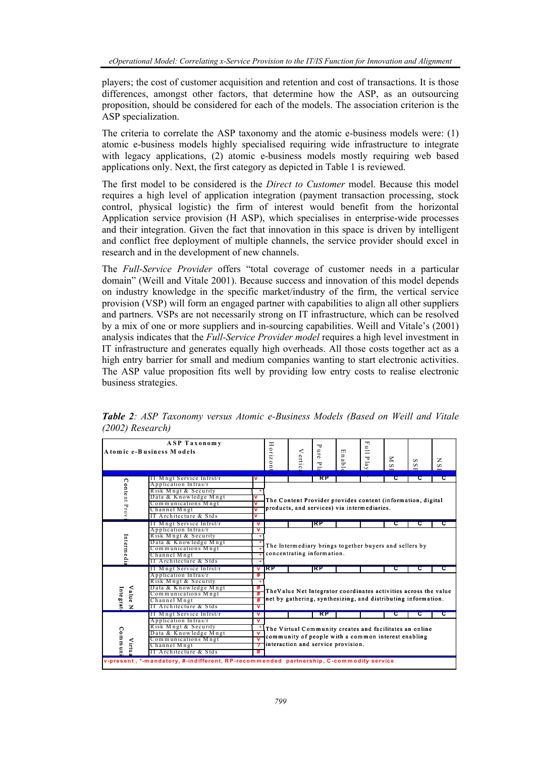players; the cost of customer acquisition and retention and cost of transactions. It is those differences, amongst other factors, that determine how the ASP, as an outsourcing proposition, should be considered for each of the models. The association criterion is the ASP specialization.

The criteria to correlate the ASP taxonomy and the atomic e-business models were: (1) atomic e-business models highly specialised requiring wide infrastructure to integrate with legacy applications, (2) atomic e-business models mostly requiring web based applications only. Next, the first category as depicted in Table 1 is reviewed.

The first model to be considered is the *Direct to Customer* model. Because this model requires a high level of application integration (payment transaction processing, stock control, physical logistic) the firm of interest would benefit from the horizontal Application service provision (H ASP), which specialises in enterprise-wide processes and their integration. Given the fact that innovation in this space is driven by intelligent and conflict free deployment of multiple channels, the service provider should excel in research and in the development of new channels.

The *Full-Service Provider* offers "total coverage of customer needs in a particular domain" (Weill and Vitale 2001). Because success and innovation of this model depends on industry knowledge in the specific market/industry of the firm, the vertical service provision (VSP) will form an engaged partner with capabilities to align all other suppliers and partners. VSPs are not necessarily strong on IT infrastructure, which can be resolved by a mix of one or more suppliers and in-sourcing capabilities. Weill and Vitale's (2001) analysis indicates that the *Full-Service Provider model* requires a high level investment in IT infrastructure and generates equally high overheads. All those costs together act as a high entry barrier for small and medium companies wanting to start electronic activities. The ASP value proposition fits well by providing low entry costs to realise electronic business strategies.

| <b>ASP Taxonomy</b><br>Atomic e-Business Models                                        |                    |                                                  | H orizon    | ≺<br>'ertic                                                                                                    | ᠇ᠣ<br>ure<br>Ξ                                                   | 団<br>n a<br>ᠳ                                                 | ᆔ<br>$\sum_{i=1}^{n}$<br>Δ<br>lay | $\leq$<br>S | S<br>S | z<br>S |   |  |  |
|----------------------------------------------------------------------------------------|--------------------|--------------------------------------------------|-------------|----------------------------------------------------------------------------------------------------------------|------------------------------------------------------------------|---------------------------------------------------------------|-----------------------------------|-------------|--------|--------|---|--|--|
|                                                                                        |                    |                                                  |             | ø                                                                                                              |                                                                  |                                                               |                                   | $\bullet$   |        |        |   |  |  |
|                                                                                        | Content Prov       | IT Mngt Service Infrst/r<br>Application Infras/r |             |                                                                                                                |                                                                  | RP                                                            |                                   |             | τ      | С      | τ |  |  |
|                                                                                        |                    | Risk Mngt & Security                             |             | The Content Provider provides content (information, digital<br>products, and services) via intermediaries.     |                                                                  |                                                               |                                   |             |        |        |   |  |  |
|                                                                                        |                    | Data & Knowledge Mngt                            |             |                                                                                                                |                                                                  |                                                               |                                   |             |        |        |   |  |  |
|                                                                                        |                    | Communications Mngt                              |             |                                                                                                                |                                                                  |                                                               |                                   |             |        |        |   |  |  |
|                                                                                        |                    | Channel Mngt                                     | v           |                                                                                                                |                                                                  |                                                               |                                   |             |        |        |   |  |  |
|                                                                                        |                    | IT Architecture & Stds                           | v           |                                                                                                                |                                                                  |                                                               |                                   |             |        |        |   |  |  |
|                                                                                        |                    | IT Mngt Service Infrst/r                         | v           |                                                                                                                |                                                                  | <b>IRP</b>                                                    |                                   |             | С      |        |   |  |  |
|                                                                                        |                    | Application Infras/r                             | v           |                                                                                                                |                                                                  |                                                               |                                   |             |        |        |   |  |  |
|                                                                                        |                    | Risk Mngt & Security                             |             |                                                                                                                |                                                                  |                                                               |                                   |             |        |        |   |  |  |
|                                                                                        |                    | Data & Knowledge Mngt                            |             |                                                                                                                |                                                                  |                                                               |                                   |             |        |        |   |  |  |
| In term edia                                                                           |                    | Communications Mngt                              |             | The Intermediary brings together buyers and sellers by<br>concentrating information.                           |                                                                  |                                                               |                                   |             |        |        |   |  |  |
|                                                                                        |                    | Channel Mngt                                     |             |                                                                                                                |                                                                  |                                                               |                                   |             |        |        |   |  |  |
|                                                                                        |                    | IT Architecture & Stds                           |             |                                                                                                                |                                                                  |                                                               |                                   |             |        |        |   |  |  |
|                                                                                        |                    | II Mngt Service Infrst/r                         | v           | ТКР                                                                                                            |                                                                  | IRP                                                           |                                   |             | τ      | С      |   |  |  |
|                                                                                        |                    | Application Infras/r                             | #           |                                                                                                                |                                                                  |                                                               |                                   |             |        |        |   |  |  |
|                                                                                        |                    | Risk Mngt & Security                             |             |                                                                                                                |                                                                  |                                                               |                                   |             |        |        |   |  |  |
|                                                                                        |                    | Data & Knowledge Mngt                            |             |                                                                                                                |                                                                  |                                                               |                                   |             |        |        |   |  |  |
|                                                                                        | <b>Value</b>       | Communications Mngt                              |             |                                                                                                                | The Value Net Integrator coordinates activities across the value |                                                               |                                   |             |        |        |   |  |  |
|                                                                                        |                    | Channel Mngt                                     | #           |                                                                                                                |                                                                  | net by gathering, synthesizing, and distributing information. |                                   |             |        |        |   |  |  |
| Integrat                                                                               | z                  | IT Architecture & Stds                           | $\mathbf v$ |                                                                                                                |                                                                  |                                                               |                                   |             |        |        |   |  |  |
|                                                                                        |                    | IT Mngt Service Infrst/r                         | v           |                                                                                                                |                                                                  | RP                                                            |                                   |             | С      |        | С |  |  |
|                                                                                        |                    | Application Infras/r                             | v           |                                                                                                                |                                                                  |                                                               |                                   |             |        |        |   |  |  |
|                                                                                        |                    | Risk Mngt & Security                             |             | The Virtual Community creates and facilitates an online<br>community of people with a common interest enabling |                                                                  |                                                               |                                   |             |        |        |   |  |  |
|                                                                                        | Commun<br>$V$ irtu | Data & Knowledge Mngt                            |             |                                                                                                                |                                                                  |                                                               |                                   |             |        |        |   |  |  |
|                                                                                        |                    | Communications Mngt                              |             |                                                                                                                |                                                                  |                                                               |                                   |             |        |        |   |  |  |
|                                                                                        |                    | Channel Mngt                                     |             | interaction and service provision.                                                                             |                                                                  |                                                               |                                   |             |        |        |   |  |  |
|                                                                                        |                    | IT Architecture & Stds                           |             |                                                                                                                |                                                                  |                                                               |                                   |             |        |        |   |  |  |
| v-present, *-mandatory, #-indifferent, RP-recommended partnership, C-commodity service |                    |                                                  |             |                                                                                                                |                                                                  |                                                               |                                   |             |        |        |   |  |  |

*Table 2: ASP Taxonomy versus Atomic e-Business Models (Based on Weill and Vitale (2002) Research)*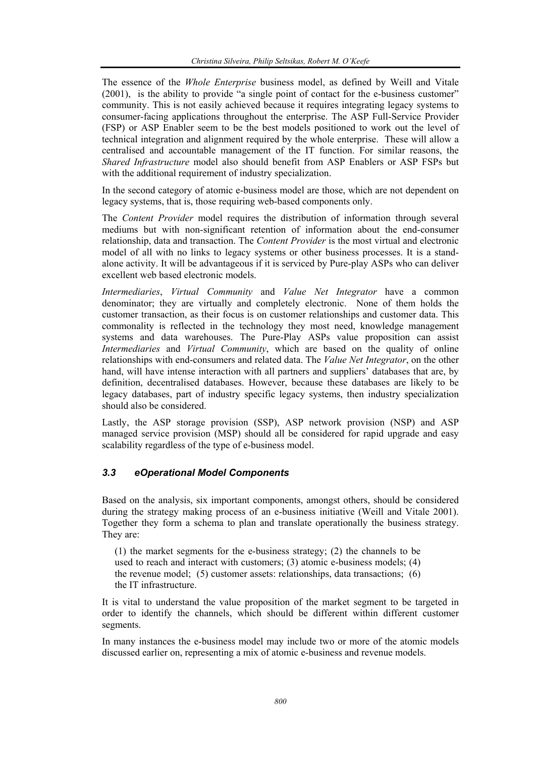The essence of the *Whole Enterprise* business model, as defined by Weill and Vitale (2001), is the ability to provide "a single point of contact for the e-business customer" community. This is not easily achieved because it requires integrating legacy systems to consumer-facing applications throughout the enterprise. The ASP Full-Service Provider (FSP) or ASP Enabler seem to be the best models positioned to work out the level of technical integration and alignment required by the whole enterprise. These will allow a centralised and accountable management of the IT function. For similar reasons, the *Shared Infrastructure* model also should benefit from ASP Enablers or ASP FSPs but with the additional requirement of industry specialization.

In the second category of atomic e-business model are those, which are not dependent on legacy systems, that is, those requiring web-based components only.

The *Content Provider* model requires the distribution of information through several mediums but with non-significant retention of information about the end-consumer relationship, data and transaction. The *Content Provider* is the most virtual and electronic model of all with no links to legacy systems or other business processes. It is a standalone activity. It will be advantageous if it is serviced by Pure-play ASPs who can deliver excellent web based electronic models.

*Intermediaries*, *Virtual Community* and *Value Net Integrator* have a common denominator; they are virtually and completely electronic. None of them holds the customer transaction, as their focus is on customer relationships and customer data. This commonality is reflected in the technology they most need, knowledge management systems and data warehouses. The Pure-Play ASPs value proposition can assist *Intermediaries* and *Virtual Community*, which are based on the quality of online relationships with end-consumers and related data. The *Value Net Integrator*, on the other hand, will have intense interaction with all partners and suppliers' databases that are, by definition, decentralised databases. However, because these databases are likely to be legacy databases, part of industry specific legacy systems, then industry specialization should also be considered.

Lastly, the ASP storage provision (SSP), ASP network provision (NSP) and ASP managed service provision (MSP) should all be considered for rapid upgrade and easy scalability regardless of the type of e-business model.

## *3.3 eOperational Model Components*

Based on the analysis, six important components, amongst others, should be considered during the strategy making process of an e-business initiative (Weill and Vitale 2001). Together they form a schema to plan and translate operationally the business strategy. They are:

(1) the market segments for the e-business strategy; (2) the channels to be used to reach and interact with customers; (3) atomic e-business models; (4) the revenue model; (5) customer assets: relationships, data transactions; (6) the IT infrastructure.

It is vital to understand the value proposition of the market segment to be targeted in order to identify the channels, which should be different within different customer segments.

In many instances the e-business model may include two or more of the atomic models discussed earlier on, representing a mix of atomic e-business and revenue models.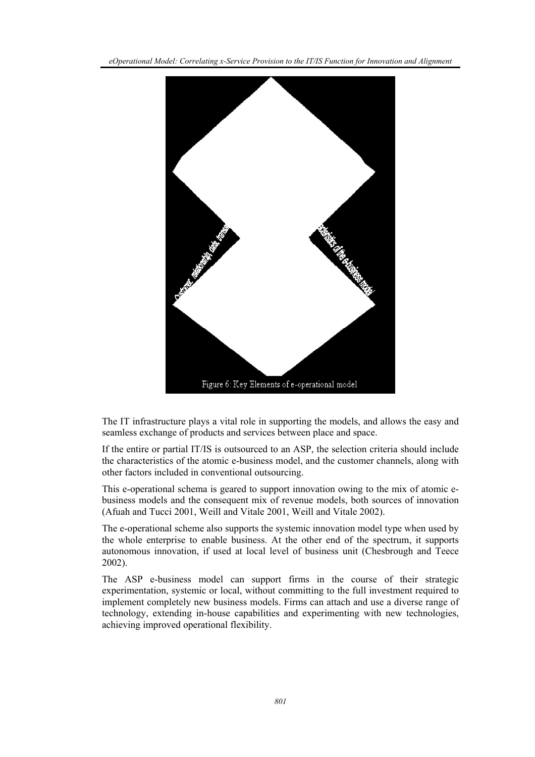*eOperational Model: Correlating x-Service Provision to the IT/IS Function for Innovation and Alignment* 



The IT infrastructure plays a vital role in supporting the models, and allows the easy and seamless exchange of products and services between place and space.

If the entire or partial IT/IS is outsourced to an ASP, the selection criteria should include the characteristics of the atomic e-business model, and the customer channels, along with other factors included in conventional outsourcing.

This e-operational schema is geared to support innovation owing to the mix of atomic ebusiness models and the consequent mix of revenue models, both sources of innovation (Afuah and Tucci 2001, Weill and Vitale 2001, Weill and Vitale 2002).

The e-operational scheme also supports the systemic innovation model type when used by the whole enterprise to enable business. At the other end of the spectrum, it supports autonomous innovation, if used at local level of business unit (Chesbrough and Teece 2002).

The ASP e-business model can support firms in the course of their strategic experimentation, systemic or local, without committing to the full investment required to implement completely new business models. Firms can attach and use a diverse range of technology, extending in-house capabilities and experimenting with new technologies, achieving improved operational flexibility.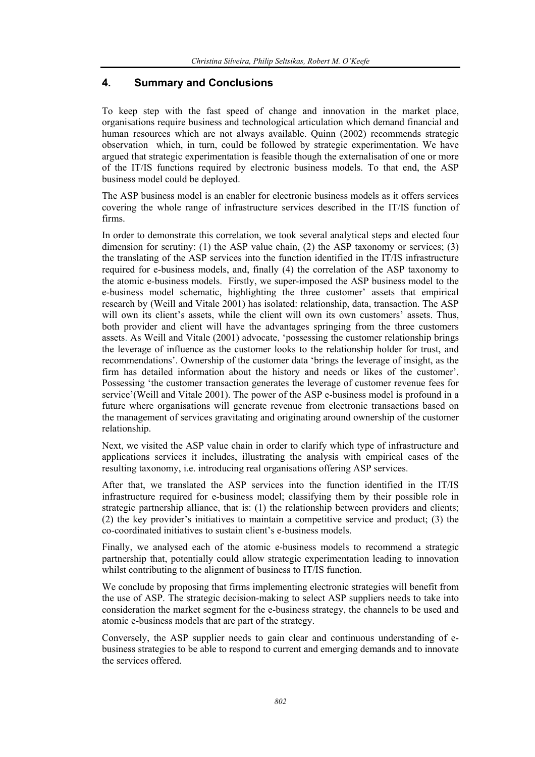## **4. Summary and Conclusions**

To keep step with the fast speed of change and innovation in the market place, organisations require business and technological articulation which demand financial and human resources which are not always available. Quinn (2002) recommends strategic observation which, in turn, could be followed by strategic experimentation. We have argued that strategic experimentation is feasible though the externalisation of one or more of the IT/IS functions required by electronic business models. To that end, the ASP business model could be deployed.

The ASP business model is an enabler for electronic business models as it offers services covering the whole range of infrastructure services described in the IT/IS function of firms.

In order to demonstrate this correlation, we took several analytical steps and elected four dimension for scrutiny: (1) the ASP value chain, (2) the ASP taxonomy or services; (3) the translating of the ASP services into the function identified in the IT/IS infrastructure required for e-business models, and, finally (4) the correlation of the ASP taxonomy to the atomic e-business models. Firstly, we super-imposed the ASP business model to the e-business model schematic, highlighting the three customer' assets that empirical research by (Weill and Vitale 2001) has isolated: relationship, data, transaction. The ASP will own its client's assets, while the client will own its own customers' assets. Thus, both provider and client will have the advantages springing from the three customers assets. As Weill and Vitale (2001) advocate, 'possessing the customer relationship brings the leverage of influence as the customer looks to the relationship holder for trust, and recommendations'. Ownership of the customer data 'brings the leverage of insight, as the firm has detailed information about the history and needs or likes of the customer'. Possessing 'the customer transaction generates the leverage of customer revenue fees for service'(Weill and Vitale 2001). The power of the ASP e-business model is profound in a future where organisations will generate revenue from electronic transactions based on the management of services gravitating and originating around ownership of the customer relationship.

Next, we visited the ASP value chain in order to clarify which type of infrastructure and applications services it includes, illustrating the analysis with empirical cases of the resulting taxonomy, i.e. introducing real organisations offering ASP services.

After that, we translated the ASP services into the function identified in the IT/IS infrastructure required for e-business model; classifying them by their possible role in strategic partnership alliance, that is: (1) the relationship between providers and clients; (2) the key provider's initiatives to maintain a competitive service and product; (3) the co-coordinated initiatives to sustain client's e-business models.

Finally, we analysed each of the atomic e-business models to recommend a strategic partnership that, potentially could allow strategic experimentation leading to innovation whilst contributing to the alignment of business to IT/IS function.

We conclude by proposing that firms implementing electronic strategies will benefit from the use of ASP. The strategic decision-making to select ASP suppliers needs to take into consideration the market segment for the e-business strategy, the channels to be used and atomic e-business models that are part of the strategy.

Conversely, the ASP supplier needs to gain clear and continuous understanding of ebusiness strategies to be able to respond to current and emerging demands and to innovate the services offered.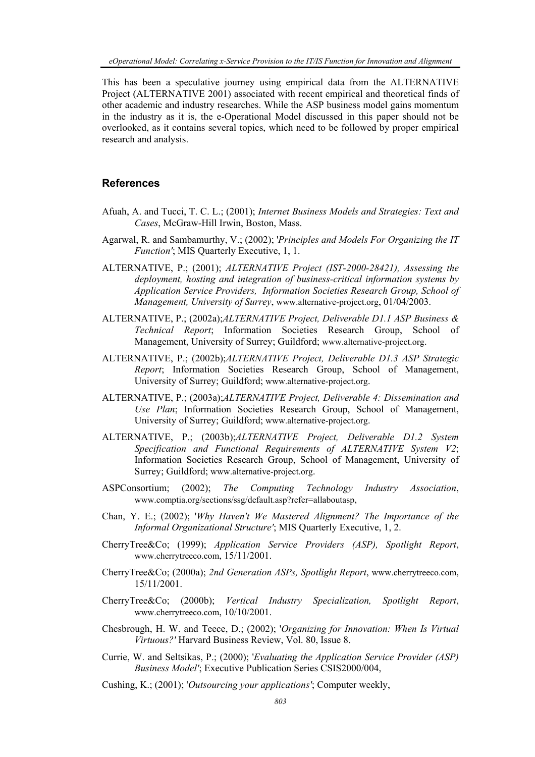This has been a speculative journey using empirical data from the ALTERNATIVE Project (ALTERNATIVE 2001) associated with recent empirical and theoretical finds of other academic and industry researches. While the ASP business model gains momentum in the industry as it is, the e-Operational Model discussed in this paper should not be overlooked, as it contains several topics, which need to be followed by proper empirical research and analysis.

#### **References**

- Afuah, A. and Tucci, T. C. L.; (2001); *Internet Business Models and Strategies: Text and Cases*, McGraw-Hill Irwin, Boston, Mass.
- Agarwal, R. and Sambamurthy, V.; (2002); '*Principles and Models For Organizing the IT Function'*; MIS Quarterly Executive, 1, 1.
- ALTERNATIVE, P.; (2001); *ALTERNATIVE Project (IST-2000-28421), Assessing the deployment, hosting and integration of business-critical information systems by Application Service Providers, Information Societies Research Group, School of Management, University of Surrey*, www.alternative-project.org, 01/04/2003.
- ALTERNATIVE, P.; (2002a);*ALTERNATIVE Project, Deliverable D1.1 ASP Business & Technical Report*; Information Societies Research Group, School of Management, University of Surrey; Guildford; www.alternative-project.org.
- ALTERNATIVE, P.; (2002b);*ALTERNATIVE Project, Deliverable D1.3 ASP Strategic Report*; Information Societies Research Group, School of Management, University of Surrey; Guildford; www.alternative-project.org.
- ALTERNATIVE, P.; (2003a);*ALTERNATIVE Project, Deliverable 4: Dissemination and Use Plan*; Information Societies Research Group, School of Management, University of Surrey; Guildford; www.alternative-project.org.
- ALTERNATIVE, P.; (2003b);*ALTERNATIVE Project, Deliverable D1.2 System Specification and Functional Requirements of ALTERNATIVE System V2*; Information Societies Research Group, School of Management, University of Surrey; Guildford; www.alternative-project.org.
- ASPConsortium; (2002); *The Computing Technology Industry Association*, www.comptia.org/sections/ssg/default.asp?refer=allaboutasp,
- Chan, Y. E.; (2002); '*Why Haven't We Mastered Alignment? The Importance of the Informal Organizational Structure'*; MIS Quarterly Executive, 1, 2.
- CherryTree&Co; (1999); *Application Service Providers (ASP), Spotlight Report*, www.cherrytreeco.com, 15/11/2001.
- CherryTree&Co; (2000a); *2nd Generation ASPs, Spotlight Report*, www.cherrytreeco.com, 15/11/2001.
- CherryTree&Co; (2000b); *Vertical Industry Specialization, Spotlight Report*, www.cherrytreeco.com, 10/10/2001.
- Chesbrough, H. W. and Teece, D.; (2002); '*Organizing for Innovation: When Is Virtual Virtuous?'* Harvard Business Review, Vol. 80, Issue 8.
- Currie, W. and Seltsikas, P.; (2000); '*Evaluating the Application Service Provider (ASP) Business Model'*; Executive Publication Series CSIS2000/004,

Cushing, K.; (2001); '*Outsourcing your applications'*; Computer weekly,